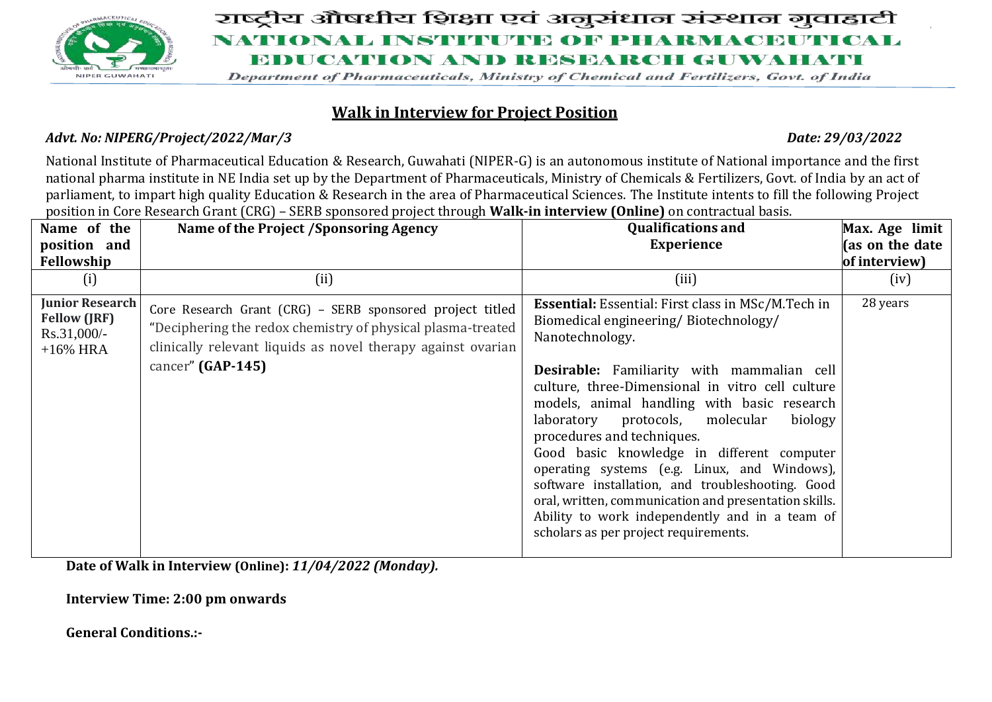

# राष्ट्रीय औषधीय शिक्षा एवं अनुसंधान संस्थान गुवाहाटी NATIONAL INSTITUTE OF PHARMACEUTICAL EDUCATION AND RESEARCH GUWAHATI

Department of Pharmaceuticals, Ministry of Chemical and Fertilizers, Govt. of India

## **Walk in Interview for Project Position**

#### *Advt. No: NIPERG/Project/2022/Mar/3 Date: 29/03/2022*

National Institute of Pharmaceutical Education & Research, Guwahati (NIPER-G) is an autonomous institute of National importance and the first national pharma institute in NE India set up by the Department of Pharmaceuticals, Ministry of Chemicals & Fertilizers, Govt. of India by an act of parliament, to impart high quality Education & Research in the area of Pharmaceutical Sciences. The Institute intents to fill the following Project position in Core Research Grant (CRG) – SERB sponsored project through **Walk-in interview (Online)** on contractual basis.

| Name of the                                                                   | Name of the Project /Sponsoring Agency                                                                                                                                                                        | <b>Qualifications and</b>                                                                                                                                                                                                                                                                                                                                                                                                                                                                                                                                                                                                                                          | Max. Age limit  |
|-------------------------------------------------------------------------------|---------------------------------------------------------------------------------------------------------------------------------------------------------------------------------------------------------------|--------------------------------------------------------------------------------------------------------------------------------------------------------------------------------------------------------------------------------------------------------------------------------------------------------------------------------------------------------------------------------------------------------------------------------------------------------------------------------------------------------------------------------------------------------------------------------------------------------------------------------------------------------------------|-----------------|
| position and                                                                  |                                                                                                                                                                                                               | <b>Experience</b>                                                                                                                                                                                                                                                                                                                                                                                                                                                                                                                                                                                                                                                  | (as on the date |
| Fellowship                                                                    |                                                                                                                                                                                                               |                                                                                                                                                                                                                                                                                                                                                                                                                                                                                                                                                                                                                                                                    | of interview)   |
| (i)                                                                           | (ii)                                                                                                                                                                                                          | (iii)                                                                                                                                                                                                                                                                                                                                                                                                                                                                                                                                                                                                                                                              | (iv)            |
| <b>Junior Research</b><br><b>Fellow (JRF)</b><br>$Rs.31,000/-$<br>$+16\%$ HRA | Core Research Grant (CRG) - SERB sponsored project titled<br>"Deciphering the redox chemistry of physical plasma-treated<br>clinically relevant liquids as novel therapy against ovarian<br>cancer" (GAP-145) | <b>Essential:</b> Essential: First class in MSc/M.Tech in<br>Biomedical engineering/Biotechnology/<br>Nanotechnology.<br><b>Desirable:</b> Familiarity with mammalian cell<br>culture, three-Dimensional in vitro cell culture<br>models, animal handling with basic research<br>protocols, molecular<br>biology<br>laboratory<br>procedures and techniques.<br>Good basic knowledge in different computer<br>operating systems (e.g. Linux, and Windows),<br>software installation, and troubleshooting. Good<br>oral, written, communication and presentation skills.<br>Ability to work independently and in a team of<br>scholars as per project requirements. | 28 years        |

**Date of Walk in Interview (Online):** *11/04/2022 (Monday).*

**Interview Time: 2:00 pm onwards**

### **General Conditions.:-**